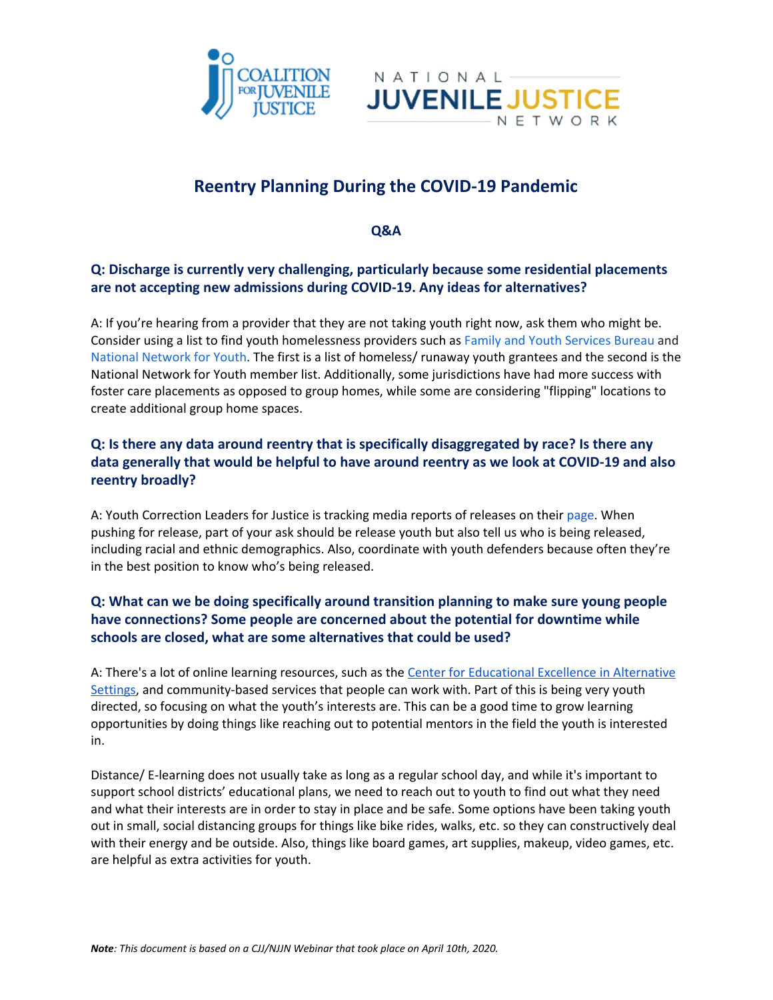



# **Reentry Planning During the COVID-19 Pandemic**

**Q&A**

#### **Q: Discharge is currently very challenging, particularly because some residential placements are not accepting new admissions during COVID-19. Any ideas for alternatives?**

A: If you're hearing from a provider that they are not taking youth right now, ask them who might be. Consider using a list to find youth homelessness providers such as Family and Youth [Services](https://www.acf.hhs.gov/fysb/grants/fysb-grantees) Bureau and National [Network](https://nn4youth.org/about/our-members/) for Youth. The first is a list of homeless/ runaway youth grantees and the second is the National Network for Youth member list. Additionally, some jurisdictions have had more success with foster care placements as opposed to group homes, while some are considering "flipping" locations to create additional group home spaces.

## **Q: Is there any data around reentry that is specifically disaggregated by race? Is there any data generally that would be helpful to have around reentry as we look at COVID-19 and also reentry broadly?**

A: Youth Correction Leaders for Justice is tracking media reports of releases on their [page.](https://yclj.org/covid19) When pushing for release, part of your ask should be release youth but also tell us who is being released, including racial and ethnic demographics. Also, coordinate with youth defenders because often they're in the best position to know who's being released.

## **Q: What can we be doing specifically around transition planning to make sure young people have connections? Some people are concerned about the potential for downtime while schools are closed, what are some alternatives that could be used?**

A: There's a lot of online learning resources, such as the Center for [Educational](https://www.ceeas.org/covid-19) Excellence in Alternative [Settings,](https://www.ceeas.org/covid-19) and community-based services that people can work with. Part of this is being very youth directed, so focusing on what the youth's interests are. This can be a good time to grow learning opportunities by doing things like reaching out to potential mentors in the field the youth is interested in.

Distance/ E-learning does not usually take as long as a regular school day, and while it's important to support school districts' educational plans, we need to reach out to youth to find out what they need and what their interests are in order to stay in place and be safe. Some options have been taking youth out in small, social distancing groups for things like bike rides, walks, etc. so they can constructively deal with their energy and be outside. Also, things like board games, art supplies, makeup, video games, etc. are helpful as extra activities for youth.